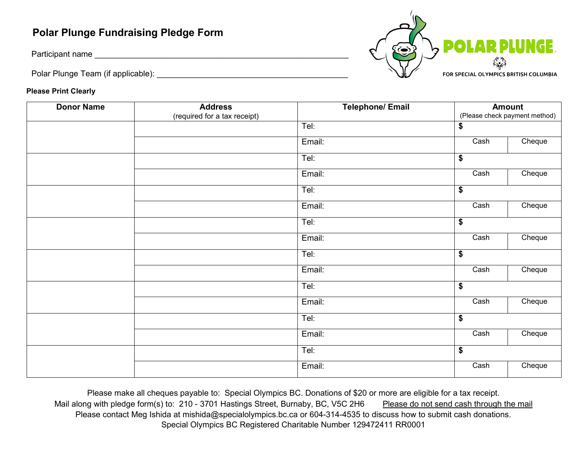## **Polar Plunge Fundraising Pledge Form**

Participant name \_\_\_\_\_\_\_\_\_\_\_\_\_\_\_\_\_\_\_\_\_\_\_\_\_\_\_\_\_\_\_\_\_\_\_\_\_\_\_\_\_\_\_\_\_\_\_\_\_\_\_\_\_\_\_\_

Polar Plunge Team (if applicable): \_\_\_\_\_\_\_\_\_\_\_\_\_\_\_\_\_\_\_\_\_\_\_\_\_\_\_\_\_\_\_\_\_\_\_\_\_\_\_\_\_\_



## **Please Print Clearly**

| <b>Donor Name</b> | <b>Address</b>               | <b>Telephone/Email</b> |                      | <b>Amount</b>                 |  |
|-------------------|------------------------------|------------------------|----------------------|-------------------------------|--|
|                   | (required for a tax receipt) |                        |                      | (Please check payment method) |  |
|                   |                              | Tel:                   | \$                   |                               |  |
|                   |                              | Email:                 | Cash                 | Cheque                        |  |
|                   |                              | Tel:                   | \$                   |                               |  |
|                   |                              | Email:                 | Cash                 | Cheque                        |  |
|                   |                              | Tel:                   | $\overline{\bullet}$ |                               |  |
|                   |                              | Email:                 | Cash                 | Cheque                        |  |
|                   |                              | Tel:                   | $\overline{\bullet}$ |                               |  |
|                   |                              | Email:                 | Cash                 | Cheque                        |  |
|                   |                              | Tel:                   | \$                   |                               |  |
|                   |                              | Email:                 | Cash                 | Cheque                        |  |
|                   |                              | Tel:                   | \$                   |                               |  |
|                   |                              | Email:                 | Cash                 | Cheque                        |  |
|                   |                              | Tel:                   | \$                   |                               |  |
|                   |                              | Email:                 | Cash                 | Cheque                        |  |
|                   |                              | Tel:                   | \$                   |                               |  |
|                   |                              | Email:                 | Cash                 | Cheque                        |  |

Please make all cheques payable to: Special Olympics BC. Donations of \$20 or more are eligible for a tax receipt. Mail along with pledge form(s) to: 210 - 3701 Hastings Street, Burnaby, BC, V5C 2H6 Please do not send cash through the mail Please contact Meg Ishida at mishida@specialolympics.bc.ca or 604-314-4535 to discuss how to submit cash donations. Special Olympics BC Registered Charitable Number 129472411 RR0001